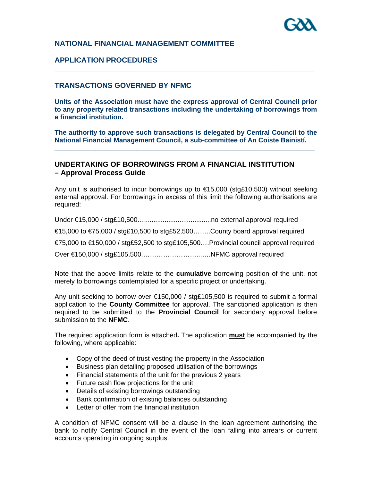## **NATIONAL FINANCIAL MANAGEMENT COMMITTEE**

## **APPLICATION PROCEDURES**

## **TRANSACTIONS GOVERNED BY NFMC**

**Units of the Association must have the express approval of Central Council prior to any property related transactions including the undertaking of borrowings from a financial institution.** 

**\_\_\_\_\_\_\_\_\_\_\_\_\_\_\_\_\_\_\_\_\_\_\_\_\_\_\_\_\_\_\_\_\_\_\_\_\_\_\_\_\_\_\_\_\_\_\_\_\_\_\_\_\_\_\_\_\_\_\_\_\_\_\_\_** 

**The authority to approve such transactions is delegated by Central Council to the National Financial Management Council, a sub-committee of An Coiste Bainistí. \_\_\_\_\_\_\_\_\_\_\_\_\_\_\_\_\_\_\_\_\_\_\_\_\_\_\_\_\_\_\_\_\_\_\_\_\_\_\_\_\_\_\_\_\_\_\_\_\_\_\_\_\_\_\_\_\_\_\_\_\_\_\_\_\_\_\_\_\_\_** 

## **UNDERTAKING OF BORROWINGS FROM A FINANCIAL INSTITUTION – Approval Process Guide**

Any unit is authorised to incur borrowings up to  $\epsilon$ 15,000 (stg£10,500) without seeking external approval. For borrowings in excess of this limit the following authorisations are required:

Under €15,000 / stg£10,500…....................................no external approval required  $€15,000$  to  $€75,000$  / stg£10,500 to stg£52,500.......County board approval required  $\epsilon$ 75,000 to  $\epsilon$ 150,000 / stg£52,500 to stg£105,500....Provincial council approval required Over €150,000 / stg£105,500.……………………...….NFMC approval required

Note that the above limits relate to the **cumulative** borrowing position of the unit, not merely to borrowings contemplated for a specific project or undertaking.

Any unit seeking to borrow over €150,000 / stg£105,500 is required to submit a formal application to the **County Committee** for approval. The sanctioned application is then required to be submitted to the **Provincial Council** for secondary approval before submission to the **NFMC**.

The required application form is attached**.** The application **must** be accompanied by the following, where applicable:

- Copy of the deed of trust vesting the property in the Association
- Business plan detailing proposed utilisation of the borrowings
- Financial statements of the unit for the previous 2 years
- Future cash flow projections for the unit
- Details of existing borrowings outstanding
- Bank confirmation of existing balances outstanding
- Letter of offer from the financial institution

A condition of NFMC consent will be a clause in the loan agreement authorising the bank to notify Central Council in the event of the loan falling into arrears or current accounts operating in ongoing surplus.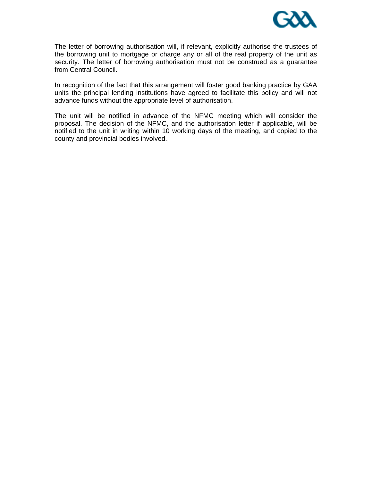

The letter of borrowing authorisation will, if relevant, explicitly authorise the trustees of the borrowing unit to mortgage or charge any or all of the real property of the unit as security. The letter of borrowing authorisation must not be construed as a guarantee from Central Council.

In recognition of the fact that this arrangement will foster good banking practice by GAA units the principal lending institutions have agreed to facilitate this policy and will not advance funds without the appropriate level of authorisation.

The unit will be notified in advance of the NFMC meeting which will consider the proposal. The decision of the NFMC, and the authorisation letter if applicable, will be notified to the unit in writing within 10 working days of the meeting, and copied to the county and provincial bodies involved.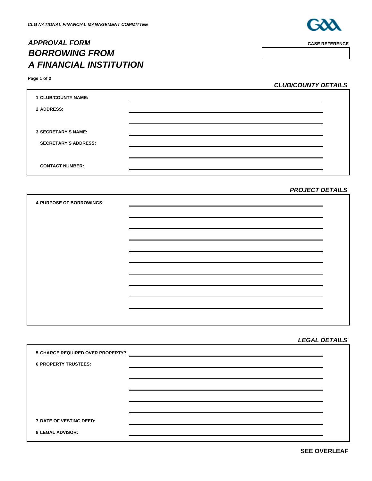# *APPROVAL FORM* **CASE REFERENCE** *BORROWING FROM A FINANCIAL INSTITUTION*



| Page 1 of |  |  |
|-----------|--|--|
|           |  |  |

*CLUB/COUNTY DETAILS*

| <b>1 CLUB/COUNTY NAME:</b>  |  |
|-----------------------------|--|
| 2 ADDRESS:                  |  |
|                             |  |
| <b>3 SECRETARY'S NAME:</b>  |  |
| <b>SECRETARY'S ADDRESS:</b> |  |
|                             |  |
| <b>CONTACT NUMBER:</b>      |  |

### *PROJECT DETAILS*

| <b>4 PURPOSE OF BORROWINGS:</b> |  |
|---------------------------------|--|
|                                 |  |
|                                 |  |
|                                 |  |
|                                 |  |
|                                 |  |
|                                 |  |
|                                 |  |
|                                 |  |
|                                 |  |
|                                 |  |
|                                 |  |

#### *LEGAL DETAILS*

| 5 CHARGE REQUIRED OVER PROPERTY? |  |
|----------------------------------|--|
| <b>6 PROPERTY TRUSTEES:</b>      |  |
|                                  |  |
|                                  |  |
|                                  |  |
|                                  |  |
| <b>7 DATE OF VESTING DEED:</b>   |  |
| <b>8 LEGAL ADVISOR:</b>          |  |